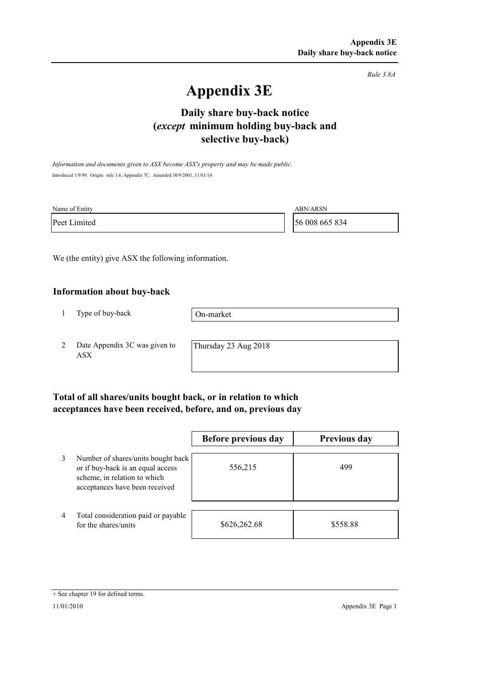*Rule 3.8A*

# **Appendix 3E**

## **selective buy-back) Daily share buy-back notice (***except* **minimum holding buy-back and**

*Information and documents given to ASX become ASX's property and may be made public.* Introduced 1/9/99. Origin: rule 3.6, Appendix 7C. Amended 30/9/2001, 11/01/10

| Name of Entity | <b>ABN/ARSN</b> |
|----------------|-----------------|
| Peet Limited   | 56 008 665 834  |

We (the entity) give ASX the following information.

#### **Information about buy-back**

1 Type of buy-back

On-market

2 Date Appendix 3C was given to ASX

Thursday 23 Aug 2018

### **Total of all shares/units bought back, or in relation to which acceptances have been received, before, and on, previous day**

|                |                                                                                                                                           | Before previous day | <b>Previous day</b> |
|----------------|-------------------------------------------------------------------------------------------------------------------------------------------|---------------------|---------------------|
| 3              | Number of shares/units bought back<br>or if buy-back is an equal access<br>scheme, in relation to which<br>acceptances have been received | 556,215             | 499                 |
| $\overline{4}$ | Total consideration paid or payable<br>for the shares/units                                                                               | \$626,262.68        | \$558.88            |

<sup>+</sup> See chapter 19 for defined terms.